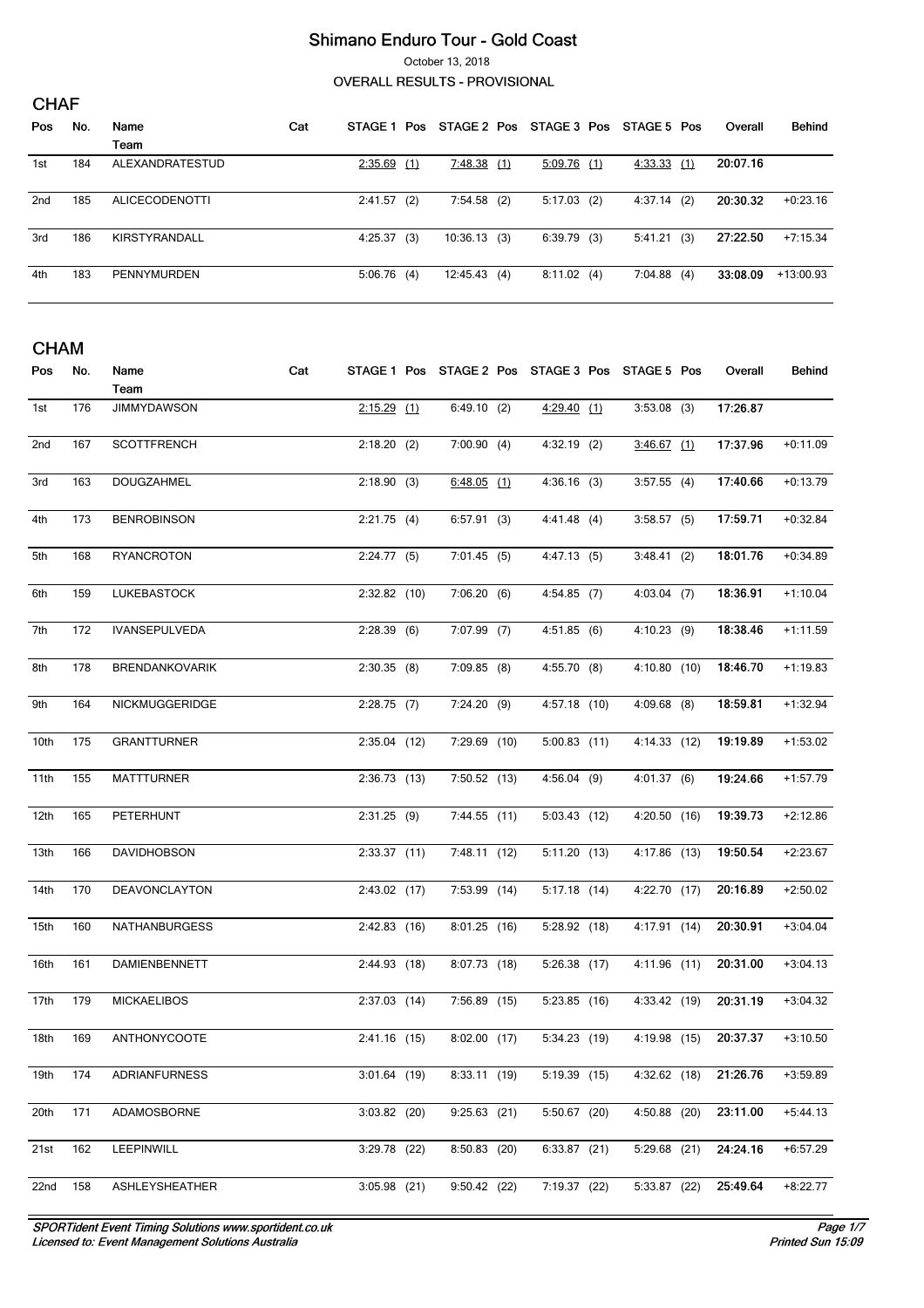October 13, 2018

**OVERALL RESULTS - PROVISIONAL** 

| <b>CHAF</b> |     |                       |     |         |     |                |  |               |  |             |  |          |               |
|-------------|-----|-----------------------|-----|---------|-----|----------------|--|---------------|--|-------------|--|----------|---------------|
| Pos.        | No. | Name                  | Cat | STAGE 1 | Pos | STAGE 2 Pos    |  | STAGE 3 Pos   |  | STAGE 5 Pos |  | Overall  | <b>Behind</b> |
|             |     | Team                  |     |         |     |                |  |               |  |             |  |          |               |
| 1st         | 184 | ALEXANDRATESTUD       |     | 2:35.69 | (1) | 7:48.38(1)     |  | $5:09.76$ (1) |  | 4:33.33(1)  |  | 20:07.16 |               |
| 2nd         | 185 | <b>ALICECODENOTTI</b> |     | 2:41.57 | (2) | $7:54.58$ (2)  |  | $5:17.03$ (2) |  | 4:37.14(2)  |  | 20:30.32 | $+0.23.16$    |
| 3rd         | 186 | KIRSTYRANDALL         |     | 4:25.37 | (3) | $10:36.13$ (3) |  | $6:39.79$ (3) |  | 5:41.21(3)  |  | 27:22.50 | $+7:15.34$    |
| 4th         | 183 | PENNYMURDEN           |     | 5:06.76 | (4) | 12:45.43(4)    |  | 8:11.02(4)    |  | 7:04.88(4)  |  | 33:08.09 | $+13:00.93$   |

| <b>CHAM</b> |     |                      |     |                |  |                                                 |  |                |  |                |  |          |            |
|-------------|-----|----------------------|-----|----------------|--|-------------------------------------------------|--|----------------|--|----------------|--|----------|------------|
| Pos         | No. | Name                 | Cat |                |  | STAGE 1 Pos STAGE 2 Pos STAGE 3 Pos STAGE 5 Pos |  |                |  |                |  | Overall  | Behind     |
|             |     | Team                 |     |                |  |                                                 |  |                |  |                |  |          |            |
| 1st         | 176 | <b>JIMMYDAWSON</b>   |     | $2:15.29$ (1)  |  | 6:49.10(2)                                      |  | $4:29.40$ (1)  |  | $3:53.08$ (3)  |  | 17:26.87 |            |
| 2nd         | 167 | <b>SCOTTFRENCH</b>   |     | $2:18.20$ (2)  |  | 7:00.90(4)                                      |  | $4:32.19$ (2)  |  | $3:46.67$ (1)  |  | 17:37.96 | $+0:11.09$ |
| 3rd         | 163 | <b>DOUGZAHMEL</b>    |     | 2:18.90(3)     |  | $6:48.05$ (1)                                   |  | $4:36.16$ (3)  |  | 3:57.55(4)     |  | 17:40.66 | $+0:13.79$ |
| 4th         | 173 | <b>BENROBINSON</b>   |     | 2:21.75(4)     |  | 6:57.91(3)                                      |  | 4:41.48(4)     |  | 3:58.57(5)     |  | 17:59.71 | $+0:32.84$ |
| 5th         | 168 | <b>RYANCROTON</b>    |     | 2:24.77(5)     |  | 7:01.45(5)                                      |  | 4:47.13(5)     |  | 3:48.41(2)     |  | 18:01.76 | $+0.34.89$ |
| 6th         | 159 | LUKEBASTOCK          |     | $2:32.82$ (10) |  | 7:06.20(6)                                      |  | $4:54.85$ (7)  |  | $4:03.04$ (7)  |  | 18:36.91 | $+1:10.04$ |
| 7th         | 172 | <b>IVANSEPULVEDA</b> |     | 2:28.39(6)     |  | $7:07.99$ (7)                                   |  | 4:51.85(6)     |  | $4:10.23$ (9)  |  | 18:38.46 | $+1:11.59$ |
| 8th         | 178 | BRENDANKOVARIK       |     | $2:30.35$ (8)  |  | $7:09.85$ (8)                                   |  | 4:55.70(8)     |  | 4:10.80(10)    |  | 18:46.70 | $+1:19.83$ |
| 9th         | 164 | NICKMUGGERIDGE       |     | $2:28.75$ (7)  |  | 7:24.20(9)                                      |  | $4:57.18$ (10) |  | $4:09.68$ (8)  |  | 18:59.81 | $+1:32.94$ |
| 10th        | 175 | <b>GRANTTURNER</b>   |     | $2:35.04$ (12) |  | 7:29.69 (10)                                    |  | $5:00.83$ (11) |  | 4:14.33 (12)   |  | 19:19.89 | $+1:53.02$ |
| 11th        | 155 | <b>MATTTURNER</b>    |     | 2:36.73(13)    |  | 7:50.52(13)                                     |  | $4:56.04$ (9)  |  | 4:01.37(6)     |  | 19:24.66 | $+1:57.79$ |
| 12th        | 165 | PETERHUNT            |     | 2:31.25(9)     |  | 7:44.55(11)                                     |  | $5:03.43$ (12) |  | 4:20.50 (16)   |  | 19:39.73 | $+2:12.86$ |
| 13th        | 166 | DAVIDHOBSON          |     | 2:33.37(11)    |  | 7:48.11 (12)                                    |  | 5:11.20(13)    |  | $4:17.86$ (13) |  | 19:50.54 | $+2:23.67$ |
| 14th        | 170 | DEAVONCLAYTON        |     | 2:43.02(17)    |  | 7:53.99 (14)                                    |  | $5:17.18$ (14) |  | 4:22.70 (17)   |  | 20:16.89 | $+2:50.02$ |
| 15th        | 160 | NATHANBURGESS        |     | $2:42.83$ (16) |  | $8:01.25$ (16)                                  |  | 5:28.92 (18)   |  | 4:17.91 (14)   |  | 20:30.91 | $+3:04.04$ |
| 16th        | 161 | DAMIENBENNETT        |     | 2:44.93 (18)   |  | 8:07.73 (18)                                    |  | 5:26.38(17)    |  | $4:11.96$ (11) |  | 20:31.00 | $+3:04.13$ |
| 17th        | 179 | <b>MICKAELIBOS</b>   |     | $2:37.03$ (14) |  | 7:56.89 (15)                                    |  | 5:23.85(16)    |  | 4:33.42 (19)   |  | 20:31.19 | $+3:04.32$ |
| 18th        | 169 | <b>ANTHONYCOOTE</b>  |     | 2:41.16 (15)   |  | 8:02.00(17)                                     |  | 5:34.23 (19)   |  | 4:19.98 (15)   |  | 20:37.37 | $+3:10.50$ |
| 19th        | 174 | <b>ADRIANFURNESS</b> |     | $3:01.64$ (19) |  | $8:33.11$ (19)                                  |  | 5:19.39 (15)   |  | 4:32.62 (18)   |  | 21:26.76 | $+3:59.89$ |
| 20th        | 171 | ADAMOSBORNE          |     | $3:03.82$ (20) |  | $9:25.63$ (21)                                  |  | $5:50.67$ (20) |  | 4:50.88 (20)   |  | 23:11.00 | $+5:44.13$ |
| 21st        | 162 | <b>LEEPINWILL</b>    |     | $3:29.78$ (22) |  | $8:50.83$ (20)                                  |  | $6:33.87$ (21) |  | 5:29.68 (21)   |  | 24:24.16 | $+6:57.29$ |
| 22nd        | 158 | ASHLEYSHEATHER       |     | $3:05.98$ (21) |  | 9:50.42(22)                                     |  | 7:19.37 (22)   |  | $5:33.87$ (22) |  | 25:49.64 | $+8:22.77$ |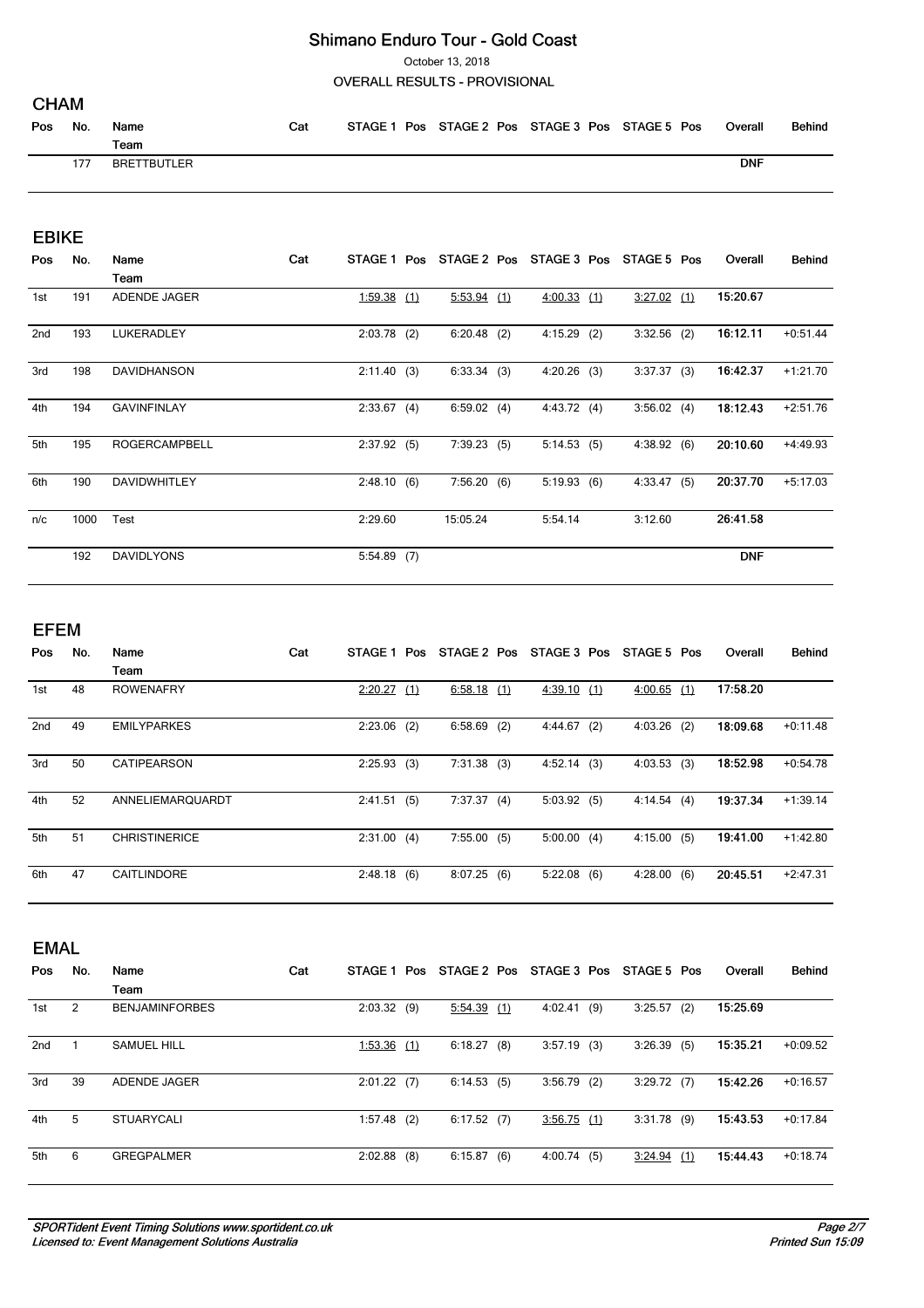October 13, 2018

### **OVERALL RESULTS - PROVISIONAL**

| Pos | No. | Name<br>$T$ eam    | Cat | STAGE 1 | Pos STAGE 2 Pos STAGE 3 Pos STAGE 5 Pos |  | Overall    | Behind |
|-----|-----|--------------------|-----|---------|-----------------------------------------|--|------------|--------|
|     | 177 | <b>BRETTBUTLER</b> |     |         |                                         |  | <b>DNF</b> |        |

### **EBIKE**

| Pos | No.  | Name                 | Cat | STAGE 1 Pos   |               | STAGE 2 Pos STAGE 3 Pos | STAGE 5 Pos   | Overall    | <b>Behind</b> |
|-----|------|----------------------|-----|---------------|---------------|-------------------------|---------------|------------|---------------|
|     |      | Team                 |     |               |               |                         |               |            |               |
| 1st | 191  | ADENDE JAGER         |     | 1:59.38(1)    | $5:53.94$ (1) | $4:00.33$ (1)           | $3:27.02$ (1) | 15:20.67   |               |
| 2nd | 193  | <b>LUKERADLEY</b>    |     | $2:03.78$ (2) | $6:20.48$ (2) | $4:15.29$ (2)           | $3:32.56$ (2) | 16:12.11   | $+0:51.44$    |
| 3rd | 198  | <b>DAVIDHANSON</b>   |     | 2:11.40(3)    | 6:33.34(3)    | $4:20.26$ (3)           | 3:37.37(3)    | 16:42.37   | $+1:21.70$    |
| 4th | 194  | <b>GAVINFINLAY</b>   |     | 2:33.67(4)    | 6:59.02(4)    | 4:43.72(4)              | 3:56.02(4)    | 18:12.43   | $+2:51.76$    |
| 5th | 195  | <b>ROGERCAMPBELL</b> |     | 2:37.92(5)    | 7:39.23(5)    | 5:14.53(5)              | 4:38.92(6)    | 20:10.60   | $+4:49.93$    |
| 6th | 190  | <b>DAVIDWHITLEY</b>  |     | 2:48.10(6)    | 7:56.20(6)    | 5:19.93(6)              | 4:33.47(5)    | 20:37.70   | $+5:17.03$    |
| n/c | 1000 | Test                 |     | 2:29.60       | 15:05.24      | 5:54.14                 | 3:12.60       | 26:41.58   |               |
|     | 192  | <b>DAVIDLYONS</b>    |     | $5:54.89$ (7) |               |                         |               | <b>DNF</b> |               |

### **EFEM**

| Pos             | No. | Name                 | Cat | <b>STAGE 1</b> | Pos | STAGE 2 Pos   |     | STAGE 3 Pos   |     | STAGE 5 Pos |     | Overall  | <b>Behind</b> |
|-----------------|-----|----------------------|-----|----------------|-----|---------------|-----|---------------|-----|-------------|-----|----------|---------------|
|                 |     | Team                 |     |                |     |               |     |               |     |             |     |          |               |
| 1st             | 48  | <b>ROWENAFRY</b>     |     | 2:20.27        | (1) | $6:58.18$ (1) |     | 4:39.10(1)    |     | 4:00.65     | (1) | 17:58.20 |               |
| 2 <sub>nd</sub> | 49  | <b>EMILYPARKES</b>   |     | 2:23.06        | (2) | 6:58.69       | (2) | 4:44.67       | (2) | 4:03.26     | (2) | 18:09.68 | $+0:11.48$    |
| 3rd             | 50  | <b>CATIPEARSON</b>   |     | 2:25.93(3)     |     | 7:31.38(3)    |     | $4:52.14$ (3) |     | 4:03.53(3)  |     | 18:52.98 | $+0.54.78$    |
| 4th             | 52  | ANNELIEMARQUARDT     |     | 2:41.51        | (5) | 7:37.37       | (4) | 5:03.92(5)    |     | 4:14.54     | (4) | 19:37.34 | $+1:39.14$    |
| 5th             | 51  | <b>CHRISTINERICE</b> |     | 2:31.00(4)     |     | 7:55.00(5)    |     | 5:00.00(4)    |     | 4:15.00     | (5) | 19:41.00 | $+1:42.80$    |
| 6th             | 47  | <b>CAITLINDORE</b>   |     | 2:48.18(6)     |     | 8:07.25(6)    |     | 5:22.08       | (6) | 4:28.00     | (6) | 20:45.51 | $+2:47.31$    |

|                 | <b>EMAL</b> |                       |     |                |     |             |     |             |     |               |     |          |               |  |
|-----------------|-------------|-----------------------|-----|----------------|-----|-------------|-----|-------------|-----|---------------|-----|----------|---------------|--|
| Pos             | No.         | Name                  | Cat | <b>STAGE 1</b> | Pos | STAGE 2 Pos |     | STAGE 3 Pos |     | STAGE 5 Pos   |     | Overall  | <b>Behind</b> |  |
|                 |             | Team                  |     |                |     |             |     |             |     |               |     |          |               |  |
| 1st             | 2           | <b>BENJAMINFORBES</b> |     | 2:03.32        | (9) | 5:54.39     | (1) | 4:02.41     | (9) | 3:25.57       | (2) | 15:25.69 |               |  |
| 2 <sub>nd</sub> |             | <b>SAMUEL HILL</b>    |     | 1:53.36        | (1) | 6:18.27     | (8) | 3:57.19     | (3) | 3:26.39       | (5) | 15:35.21 | $+0.09.52$    |  |
| 3rd             | 39          | <b>ADENDE JAGER</b>   |     | $2:01.22$ (7)  |     | 6:14.53(5)  |     | 3:56.79     | (2) | 3:29.72(7)    |     | 15:42.26 | $+0:16.57$    |  |
| 4th             | 5           | <b>STUARYCALI</b>     |     | 1:57.48        | (2) | 6:17.52(7)  |     | 3:56.75(1)  |     | 3:31.78       | (9) | 15:43.53 | $+0:17.84$    |  |
| 5th             | 6           | <b>GREGPALMER</b>     |     | 2:02.88        | (8) | 6:15.87     | (6) | 4:00.74     | (5) | $3:24.94$ (1) |     | 15:44.43 | $+0:18.74$    |  |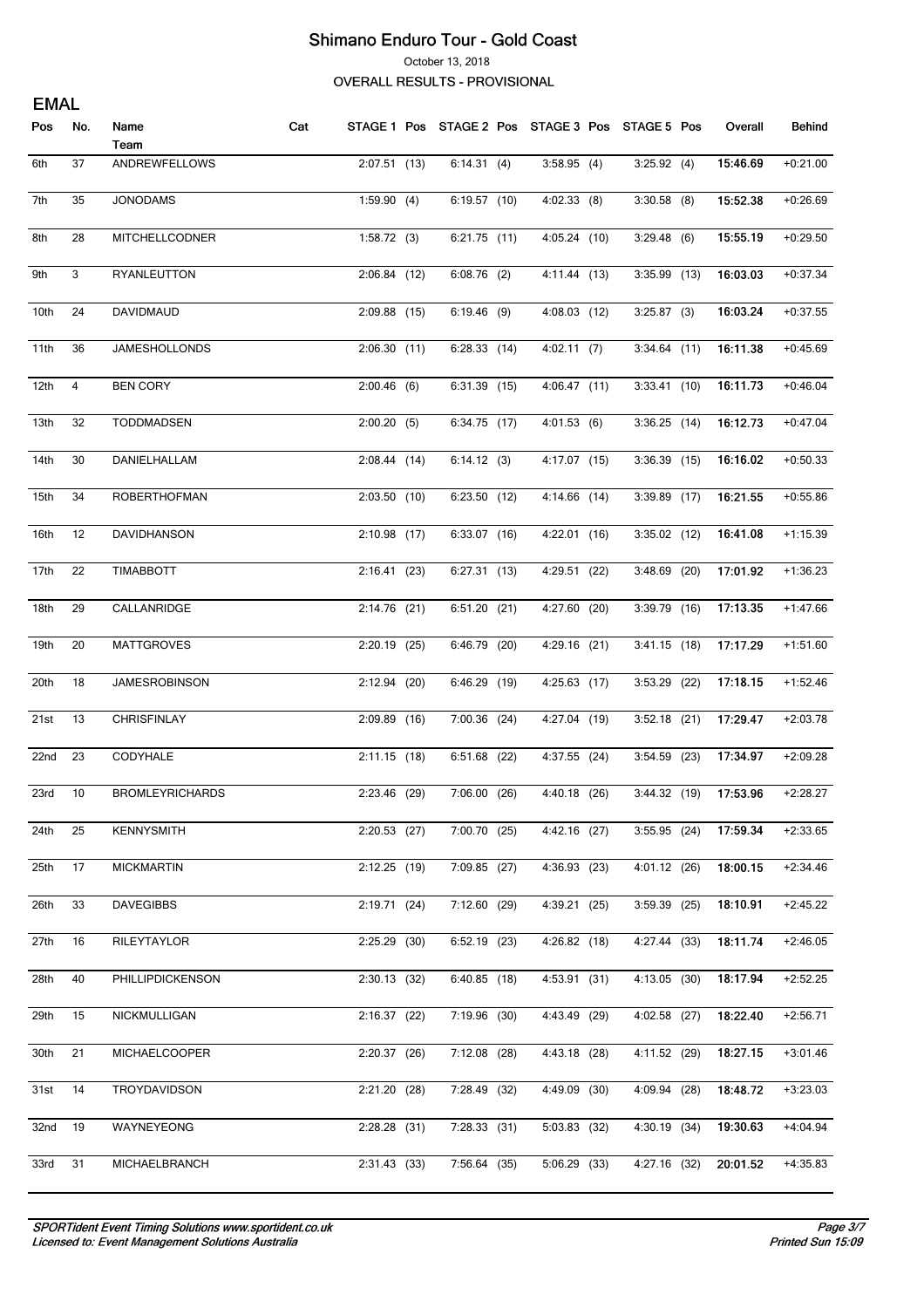October 13, 2018

**OVERALL RESULTS - PROVISIONAL** 

| <b>EMAL</b> |                |                        |     |                |                                                 |                |                |                       |               |
|-------------|----------------|------------------------|-----|----------------|-------------------------------------------------|----------------|----------------|-----------------------|---------------|
| Pos         | No.            | Name<br>Team           | Cat |                | STAGE 1 Pos STAGE 2 Pos STAGE 3 Pos STAGE 5 Pos |                |                | Overall               | <b>Behind</b> |
| 6th         | 37             | ANDREWFELLOWS          |     | $2:07.51$ (13) | 6:14.31(4)                                      | 3:58.95(4)     | 3:25.92(4)     | 15:46.69              | $+0:21.00$    |
| 7th         | 35             | <b>JONODAMS</b>        |     | 1:59.90(4)     | 6:19.57 (10)                                    | $4:02.33$ (8)  | $3:30.58$ (8)  | 15:52.38              | $+0.26.69$    |
| 8th         | 28             | MITCHELLCODNER         |     | 1:58.72(3)     | $6:21.75$ (11)                                  | 4:05.24 (10)   | 3:29.48(6)     | 15:55.19              | $+0.29.50$    |
| 9th         | 3              | RYANLEUTTON            |     | $2:06.84$ (12) | $6:08.76$ (2)                                   | 4:11.44 (13)   | $3:35.99$ (13) | 16:03.03              | $+0:37.34$    |
| 10th        | 24             | DAVIDMAUD              |     | $2:09.88$ (15) | $6:19.46$ (9)                                   | 4:08.03 (12)   | $3:25.87$ (3)  | 16:03.24              | $+0:37.55$    |
| 11th        | 36             | JAMESHOLLONDS          |     | 2:06.30(11)    | 6:28.33(14)                                     | 4:02.11(7)     | $3:34.64$ (11) | 16:11.38              | $+0.45.69$    |
| 12th        | $\overline{4}$ | <b>BEN CORY</b>        |     | $2:00.46$ (6)  | 6:31.39 (15)                                    | 4:06.47 (11)   | 3:33.41(10)    | 16:11.73              | $+0.46.04$    |
| 13th        | 32             | TODDMADSEN             |     | 2:00.20(5)     | 6:34.75 (17)                                    | 4:01.53(6)     | $3:36.25$ (14) | 16:12.73              | $+0:47.04$    |
| 14th        | 30             | DANIELHALLAM           |     | 2:08.44(14)    | 6:14.12(3)                                      | 4:17.07 (15)   | $3:36.39$ (15) | 16:16.02              | $+0:50.33$    |
| 15th        | 34             | ROBERTHOFMAN           |     | $2:03.50$ (10) | 6:23.50(12)                                     | 4:14.66 (14)   | 3:39.89 (17)   | 16:21.55              | $+0:55.86$    |
| 16th        | 12             | DAVIDHANSON            |     | $2:10.98$ (17) | $6:33.07$ (16)                                  | $4:22.01$ (16) | $3:35.02$ (12) | 16:41.08              | $+1:15.39$    |
| 17th        | 22             | TIMABBOTT              |     | 2:16.41(23)    | 6:27.31(13)                                     | 4:29.51 (22)   | $3:48.69$ (20) | 17:01.92              | $+1:36.23$    |
| 18th        | 29             | CALLANRIDGE            |     | $2:14.76$ (21) | 6:51.20(21)                                     | 4:27.60 (20)   | $3:39.79$ (16) | 17:13.35              | $+1:47.66$    |
| 19th        | 20             | <b>MATTGROVES</b>      |     | $2:20.19$ (25) | 6:46.79 (20)                                    | 4:29.16 (21)   | $3:41.15$ (18) | 17:17.29              | $+1:51.60$    |
| 20th        | 18             | <b>JAMESROBINSON</b>   |     | $2:12.94$ (20) | 6:46.29 (19)                                    | $4:25.63$ (17) | 3:53.29 (22)   | 17:18.15              | $+1:52.46$    |
| 21st        | 13             | CHRISFINLAY            |     | $2:09.89$ (16) | $7:00.36$ (24)                                  | 4:27.04 (19)   | $3:52.18$ (21) | 17:29.47              | $+2:03.78$    |
| 22nd        | 23             | CODYHALE               |     | $2:11.15$ (18) | 6:51.68 (22)                                    | $4:37.55$ (24) | $3:54.59$ (23) | 17:34.97              | $+2:09.28$    |
| 23rd        | 10             | <b>BROMLEYRICHARDS</b> |     | 2:23.46 (29)   | 7:06.00 (26)                                    | 4:40.18 (26)   |                | 3:44.32 (19) 17:53.96 | +2:28.27      |
| 24th        | 25             | <b>KENNYSMITH</b>      |     | $2:20.53$ (27) | 7:00.70 (25)                                    | 4:42.16(27)    | $3:55.95$ (24) | 17:59.34              | $+2:33.65$    |
| 25th        | 17             | <b>MICKMARTIN</b>      |     | 2:12.25(19)    | 7:09.85 (27)                                    | 4:36.93(23)    | 4:01.12 (26)   | 18:00.15              | $+2:34.46$    |
| 26th        | 33             | <b>DAVEGIBBS</b>       |     | 2:19.71(24)    | 7:12.60 (29)                                    | 4:39.21(25)    | 3:59.39(25)    | 18:10.91              | $+2:45.22$    |
| 27th        | 16             | RILEYTAYLOR            |     | $2:25.29$ (30) | $6:52.19$ (23)                                  | 4:26.82(18)    | 4:27.44 (33)   | 18:11.74              | $+2:46.05$    |
| 28th        | 40             | PHILLIPDICKENSON       |     | $2:30.13$ (32) | 6:40.85(18)                                     | 4:53.91 (31)   | 4:13.05(30)    | 18:17.94              | $+2:52.25$    |
| 29th        | 15             | NICKMULLIGAN           |     | 2:16.37(22)    | 7:19.96 (30)                                    | 4:43.49 (29)   | 4:02.58 (27)   | 18:22.40              | $+2:56.71$    |
| 30th        | 21             | <b>MICHAELCOOPER</b>   |     | 2:20.37(26)    | $7:12.08$ (28)                                  | 4:43.18 (28)   | 4:11.52 (29)   | 18:27.15              | $+3:01.46$    |
| 31st        | 14             | TROYDAVIDSON           |     | 2:21.20(28)    | 7:28.49 (32)                                    | 4:49.09 (30)   | 4:09.94 (28)   | 18:48.72              | $+3:23.03$    |
| 32nd        | 19             | WAYNEYEONG             |     | $2:28.28$ (31) | 7:28.33(31)                                     | $5:03.83$ (32) | 4:30.19 (34)   | 19:30.63              | $+4:04.94$    |
| 33rd        | 31             | <b>MICHAELBRANCH</b>   |     | 2:31.43(33)    | 7:56.64(35)                                     | 5:06.29(33)    | 4:27.16 (32)   | 20:01.52              | $+4:35.83$    |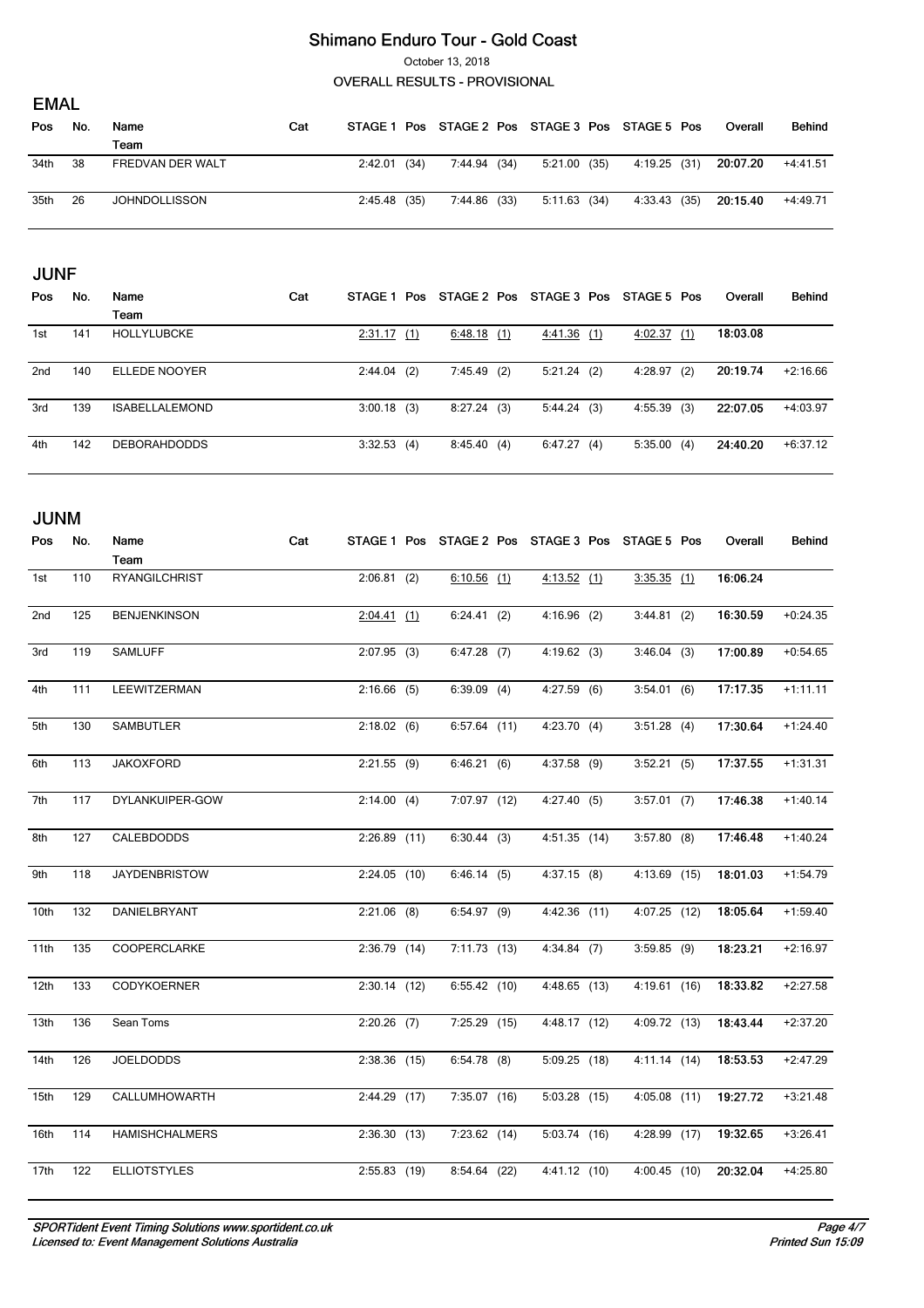October 13, 2018

**OVERALL RESULTS - PROVISIONAL** 

|      | <b>EMAL</b> |                      |     |                |      |              |  |                                                 |  |              |  |          |            |  |
|------|-------------|----------------------|-----|----------------|------|--------------|--|-------------------------------------------------|--|--------------|--|----------|------------|--|
| Pos  | No.         | Name                 | Cat |                |      |              |  | STAGE 1 Pos STAGE 2 Pos STAGE 3 Pos STAGE 5 Pos |  |              |  | Overall  | Behind     |  |
|      |             | Team                 |     |                |      |              |  |                                                 |  |              |  |          |            |  |
| 34th | -38         | FREDVAN DER WALT     |     | 2:42.01        | (34) | 7:44.94 (34) |  | 5:21.00(35)                                     |  | 4:19.25 (31) |  | 20:07.20 | $+4:41.51$ |  |
| 35th | -26         | <b>JOHNDOLLISSON</b> |     | $2:45.48$ (35) |      | 7:44.86 (33) |  | 5:11.63(34)                                     |  | 4:33.43 (35) |  | 20:15.40 | +4:49.71   |  |

|                 | <b>JUNF</b> |                       |     |               |     |               |  |               |  |             |     |          |               |
|-----------------|-------------|-----------------------|-----|---------------|-----|---------------|--|---------------|--|-------------|-----|----------|---------------|
| Pos             | No.         | Name                  | Cat | STAGE 1 Pos   |     | STAGE 2 Pos   |  | STAGE 3 Pos   |  | STAGE 5 Pos |     | Overall  | <b>Behind</b> |
|                 |             | Team                  |     |               |     |               |  |               |  |             |     |          |               |
| 1st             | 141         | <b>HOLLYLUBCKE</b>    |     | 2:31.17       | (1) | 6:48.18 $(1)$ |  | 4:41.36(1)    |  | 4:02.37     | (1) | 18:03.08 |               |
| 2 <sub>nd</sub> | 140         | ELLEDE NOOYER         |     | 2:44.04       | (2) | 7:45.49 (2)   |  | $5:21.24$ (2) |  | 4:28.97     | (2) | 20:19.74 | $+2:16.66$    |
| 3rd             | 139         | <b>ISABELLALEMOND</b> |     | $3:00.18$ (3) |     | 8:27.24(3)    |  | 5:44.24(3)    |  | 4:55.39     | (3) | 22:07.05 | $+4:03.97$    |
| 4th             | 142         | <b>DEBORAHDODDS</b>   |     | 3:32.53(4)    |     | 8:45.40(4)    |  | 6:47.27(4)    |  | 5:35.00     | (4) | 24:40.20 | $+6:37.12$    |

| <b>JUNM</b>      |     |                       |     |                |                |                                                 |                |          |               |
|------------------|-----|-----------------------|-----|----------------|----------------|-------------------------------------------------|----------------|----------|---------------|
| Pos              | No. | Name<br>Team          | Cat |                |                | STAGE 1 Pos STAGE 2 Pos STAGE 3 Pos STAGE 5 Pos |                | Overall  | <b>Behind</b> |
| 1st              | 110 | <b>RYANGILCHRIST</b>  |     | $2:06.81$ (2)  | $6:10.56$ (1)  | 4:13.52(1)                                      | $3:35.35$ (1)  | 16:06.24 |               |
| 2nd              | 125 | <b>BENJENKINSON</b>   |     | $2:04.41$ (1)  | 6:24.41(2)     | $4:16.96$ (2)                                   | 3:44.81(2)     | 16:30.59 | $+0:24.35$    |
| 3rd              | 119 | <b>SAMLUFF</b>        |     | $2:07.95$ (3)  | $6:47.28$ (7)  | 4:19.62(3)                                      | 3:46.04(3)     | 17:00.89 | $+0:54.65$    |
| 4th              | 111 | LEEWITZERMAN          |     | $2:16.66$ (5)  | $6:39.09$ (4)  | $4:27.59$ (6)                                   | 3:54.01(6)     | 17:17.35 | $+1:11.11$    |
| 5th              | 130 | <b>SAMBUTLER</b>      |     | 2:18.02(6)     | $6:57.64$ (11) | 4:23.70(4)                                      | 3:51.28(4)     | 17:30.64 | $+1:24.40$    |
| 6th              | 113 | <b>JAKOXFORD</b>      |     | $2:21.55$ (9)  | 6:46.21(6)     | $4:37.58$ (9)                                   | 3:52.21(5)     | 17:37.55 | $+1:31.31$    |
| 7th              | 117 | DYLANKUIPER-GOW       |     | 2:14.00(4)     | 7:07.97 (12)   | 4:27.40(5)                                      | $3:57.01$ (7)  | 17:46.38 | $+1:40.14$    |
| 8th              | 127 | CALEBDODDS            |     | $2:26.89$ (11) | $6:30.44$ (3)  | $4:51.35$ (14)                                  | $3:57.80$ (8)  | 17:46.48 | $+1:40.24$    |
| 9th              | 118 | <b>JAYDENBRISTOW</b>  |     | $2:24.05$ (10) | 6:46.14(5)     | $4:37.15$ (8)                                   | 4:13.69 (15)   | 18:01.03 | $+1:54.79$    |
| 10th             | 132 | DANIELBRYANT          |     | $2:21.06$ (8)  | 6:54.97(9)     | $4:42.36$ (11)                                  | $4:07.25$ (12) | 18:05.64 | $+1:59.40$    |
| 11th             | 135 | <b>COOPERCLARKE</b>   |     | $2:36.79$ (14) | 7:11.73(13)    | $4:34.84$ (7)                                   | $3:59.85$ (9)  | 18:23.21 | $+2:16.97$    |
| 12 <sub>th</sub> | 133 | CODYKOERNER           |     | $2:30.14$ (12) | 6:55.42(10)    | 4:48.65(13)                                     | 4:19.61(16)    | 18:33.82 | $+2:27.58$    |
| 13th             | 136 | Sean Toms             |     | $2:20.26$ (7)  | $7:25.29$ (15) | 4:48.17(12)                                     | 4:09.72 (13)   | 18:43.44 | $+2:37.20$    |
| 14th             | 126 | <b>JOELDODDS</b>      |     | $2:38.36$ (15) | $6:54.78$ (8)  | $5:09.25$ (18)                                  | $4:11.14$ (14) | 18:53.53 | $+2:47.29$    |
| 15th             | 129 | CALLUMHOWARTH         |     | $2:44.29$ (17) | $7:35.07$ (16) | $5:03.28$ (15)                                  | $4:05.08$ (11) | 19:27.72 | $+3:21.48$    |
| 16th             | 114 | <b>HAMISHCHALMERS</b> |     | 2:36.30(13)    | $7:23.62$ (14) | 5:03.74 (16)                                    | 4:28.99 (17)   | 19:32.65 | $+3:26.41$    |
| 17th             | 122 | <b>ELLIOTSTYLES</b>   |     | $2:55.83$ (19) | 8:54.64(22)    | 4:41.12(10)                                     | $4:00.45$ (10) | 20:32.04 | $+4:25.80$    |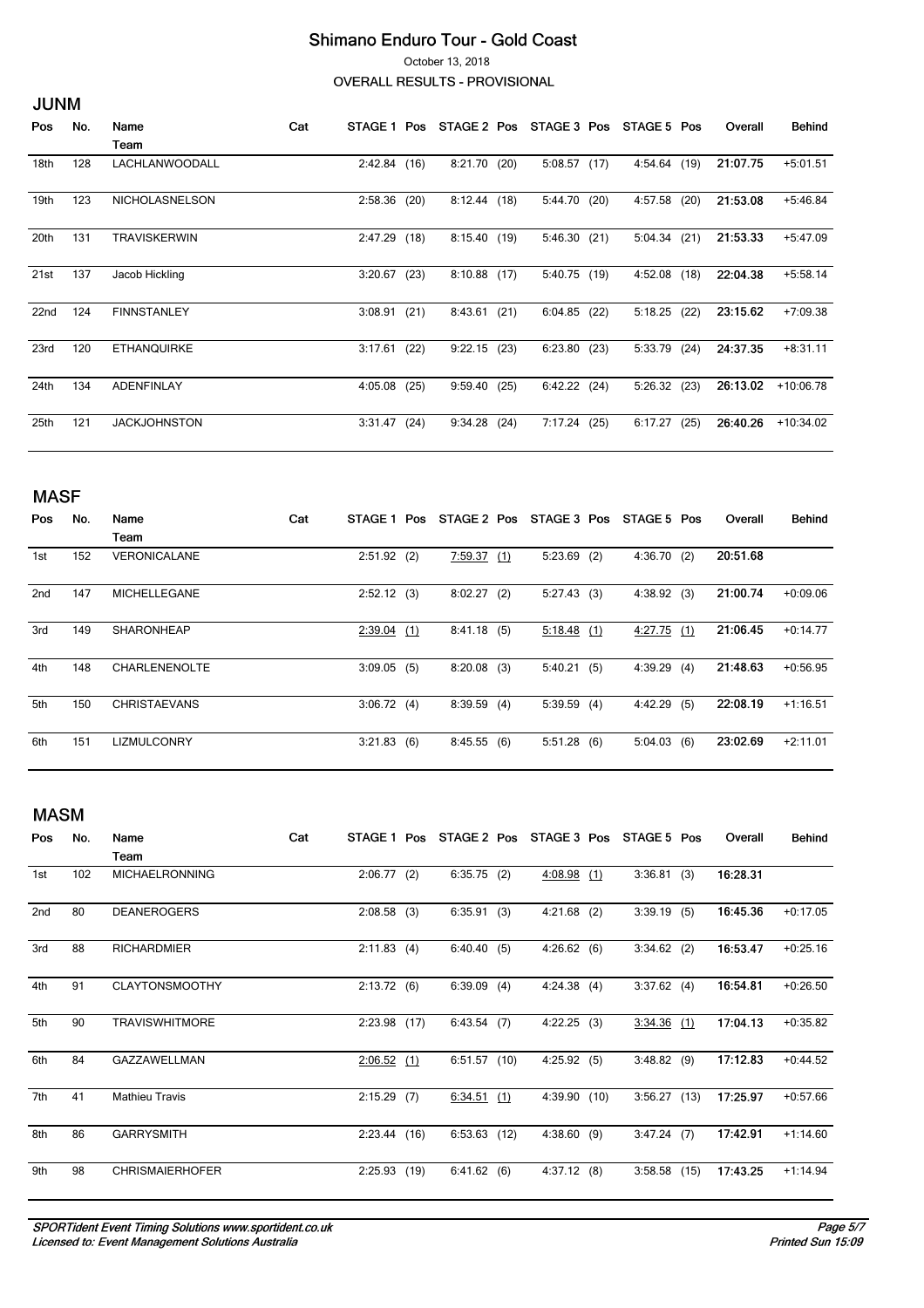October 13, 2018

**OVERALL RESULTS - PROVISIONAL** 

|                  | <b>JUNM</b> |                       |     |                |      |             |      |              |      |             |      |          |               |
|------------------|-------------|-----------------------|-----|----------------|------|-------------|------|--------------|------|-------------|------|----------|---------------|
| Pos              | No.         | Name                  | Cat | <b>STAGE 1</b> | Pos  | STAGE 2 Pos |      | STAGE 3 Pos  |      | STAGE 5 Pos |      | Overall  | <b>Behind</b> |
|                  |             | Team                  |     |                |      |             |      |              |      |             |      |          |               |
| 18th             | 128         | LACHLANWOODALL        |     | 2:42.84        | (16) | 8:21.70     | (20) | 5:08.57(17)  |      | 4:54.64     | (19) | 21:07.75 | $+5:01.51$    |
| 19th             | 123         | <b>NICHOLASNELSON</b> |     | 2:58.36        | (20) | 8:12.44     | (18) | 5:44.70      | (20) | 4:57.58     | (20) | 21:53.08 | $+5:46.84$    |
| 20 <sub>th</sub> | 131         | <b>TRAVISKERWIN</b>   |     | 2:47.29        | (18) | 8:15.40     | (19) | 5:46.30      | (21) | 5:04.34     | (21) | 21:53.33 | $+5:47.09$    |
| 21st             | 137         | Jacob Hickling        |     | 3:20.67        | (23) | 8:10.88     | (17) | 5:40.75 (19) |      | 4:52.08     | (18) | 22:04.38 | $+5:58.14$    |
| 22nd             | 124         | <b>FINNSTANLEY</b>    |     | 3:08.91        | (21) | 8:43.61     | (21) | 6:04.85      | (22) | 5:18.25     | (22) | 23:15.62 | $+7:09.38$    |
| 23rd             | 120         | <b>ETHANQUIRKE</b>    |     | 3:17.61        | (22) | 9:22.15     | (23) | 6:23.80      | (23) | 5:33.79     | (24) | 24:37.35 | $+8:31.11$    |
| 24th             | 134         | <b>ADENFINLAY</b>     |     | 4:05.08        | (25) | 9:59.40     | (25) | 6:42.22      | (24) | 5:26.32     | (23) | 26:13.02 | $+10:06.78$   |
| 25 <sub>th</sub> | 121         | <b>JACKJOHNSTON</b>   |     | 3:31.47        | (24) | 9:34.28     | (24) | 7:17.24      | (25) | 6:17.27     | (25) | 26:40.26 | $+10:34.02$   |

| Pos             | No. | Name                | Cat | STAGE 1 Pos |     | STAGE 2 Pos |     | STAGE 3 Pos   |     | STAGE 5 Pos   |     | Overall  | Behind     |
|-----------------|-----|---------------------|-----|-------------|-----|-------------|-----|---------------|-----|---------------|-----|----------|------------|
|                 |     | Team                |     |             |     |             |     |               |     |               |     |          |            |
| 1st             | 152 | <b>VERONICALANE</b> |     | 2:51.92     | (2) | 7:59.37(1)  |     | 5:23.69       | (2) | 4:36.70       | (2) | 20:51.68 |            |
| 2 <sub>nd</sub> | 147 | <b>MICHELLEGANE</b> |     | 2:52.12(3)  |     | 8:02.27     | (2) | $5:27.43$ (3) |     | 4:38.92(3)    |     | 21:00.74 | $+0.09.06$ |
| 3rd             | 149 | <b>SHARONHEAP</b>   |     | 2:39.04     | (1) | 8:41.18(5)  |     | 5:18.48(1)    |     | $4:27.75$ (1) |     | 21:06.45 | $+0:14.77$ |
| 4th             | 148 | CHARLENENOLTE       |     | 3:09.05     | (5) | 8:20.08     | (3) | 5:40.21       | (5) | 4:39.29       | (4) | 21:48.63 | $+0.56.95$ |
| 5th             | 150 | <b>CHRISTAEVANS</b> |     | 3:06.72(4)  |     | 8:39.59     | (4) | 5:39.59       | (4) | 4:42.29       | (5) | 22:08.19 | $+1:16.51$ |
| 6th             | 151 | <b>LIZMULCONRY</b>  |     | 3:21.83     | (6) | 8:45.55(6)  |     | 5:51.28(6)    |     | 5:04.03       | (6) | 23:02.69 | $+2:11.01$ |

### **MASM**

| Pos | No. | Name                   | Cat | <b>STAGE 1</b> | Pos. | STAGE 2 Pos    | STAGE 3 Pos   |     | STAGE 5 Pos   |      | Overall  | <b>Behind</b> |
|-----|-----|------------------------|-----|----------------|------|----------------|---------------|-----|---------------|------|----------|---------------|
|     |     | Team                   |     |                |      |                |               |     |               |      |          |               |
| 1st | 102 | <b>MICHAELRONNING</b>  |     | 2:06.77(2)     |      | 6:35.75(2)     | $4:08.98$ (1) |     | 3:36.81(3)    |      | 16:28.31 |               |
| 2nd | 80  | <b>DEANEROGERS</b>     |     | 2:08.58        | (3)  | 6:35.91(3)     | 4:21.68       | (2) | 3:39.19       | (5)  | 16:45.36 | $+0:17.05$    |
| 3rd | 88  | <b>RICHARDMIER</b>     |     | 2:11.83        | (4)  | 6:40.40(5)     | 4:26.62(6)    |     | $3:34.62$ (2) |      | 16:53.47 | $+0.25.16$    |
| 4th | 91  | <b>CLAYTONSMOOTHY</b>  |     | 2:13.72(6)     |      | 6:39.09(4)     | 4:24.38       | (4) | $3:37.62$ (4) |      | 16:54.81 | $+0.26.50$    |
| 5th | 90  | <b>TRAVISWHITMORE</b>  |     | $2:23.98$ (17) |      | 6:43.54(7)     | $4:22.25$ (3) |     | $3:34.36$ (1) |      | 17:04.13 | $+0:35.82$    |
| 6th | 84  | <b>GAZZAWELLMAN</b>    |     | 2:06.52        | (1)  | 6:51.57(10)    | 4:25.92(5)    |     | 3:48.82(9)    |      | 17:12.83 | $+0:44.52$    |
| 7th | 41  | <b>Mathieu Travis</b>  |     | 2:15.29        | (7)  | $6:34.51$ (1)  | 4:39.90 (10)  |     | 3:56.27(13)   |      | 17:25.97 | $+0.57.66$    |
| 8th | 86  | <b>GARRYSMITH</b>      |     | 2:23.44        | (16) | $6:53.63$ (12) | 4:38.60       | (9) | 3:47.24       | (7)  | 17:42.91 | $+1:14.60$    |
| 9th | 98  | <b>CHRISMAIERHOFER</b> |     | 2:25.93(19)    |      | 6:41.62(6)     | 4:37.12(8)    |     | 3:58.58       | (15) | 17:43.25 | $+1:14.94$    |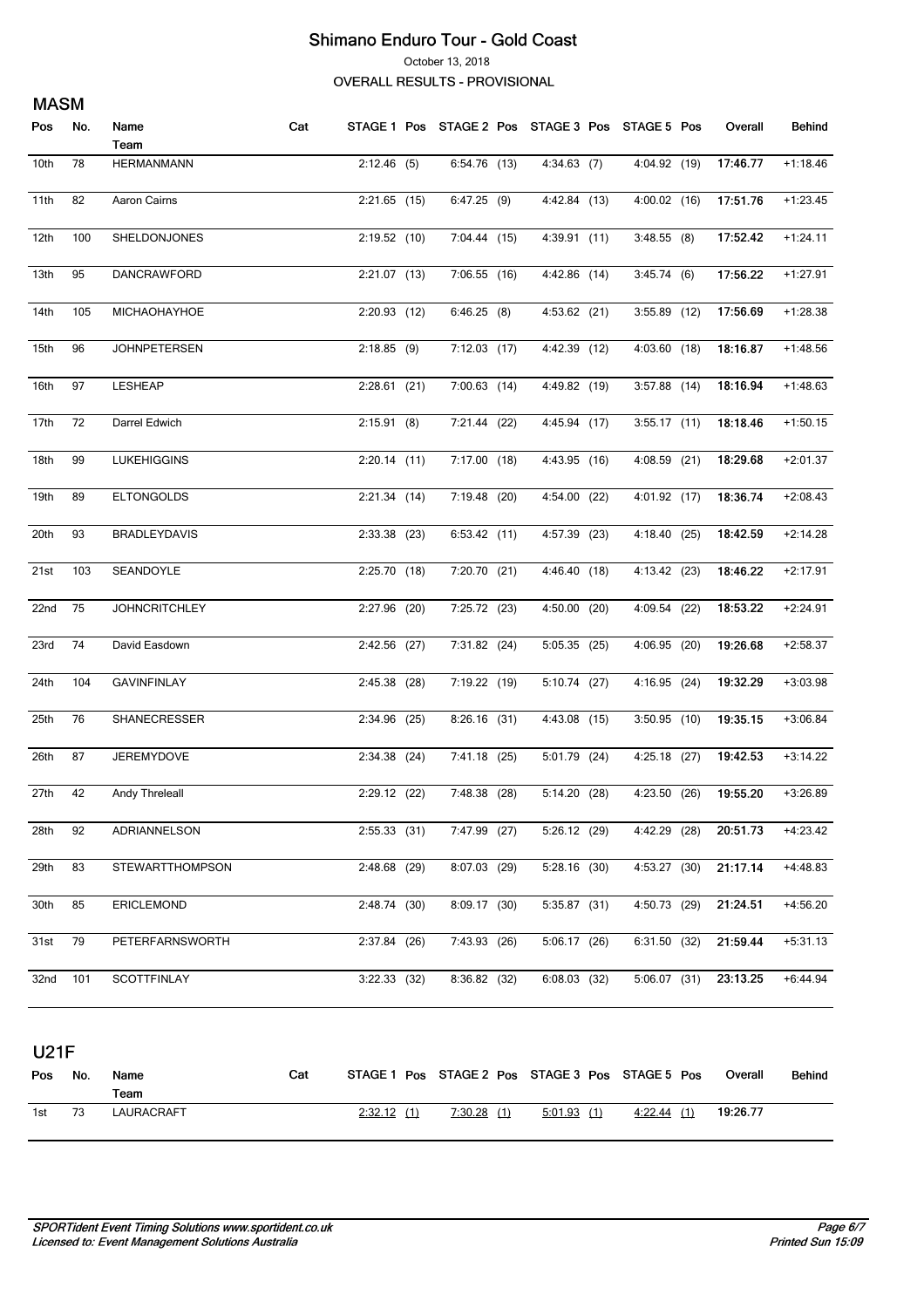October 13, 2018

**OVERALL RESULTS - PROVISIONAL** 

| <b>MASM</b> |     |                        |     |                |                |                                                 |                |          |            |
|-------------|-----|------------------------|-----|----------------|----------------|-------------------------------------------------|----------------|----------|------------|
| Pos         | No. | Name                   | Cat |                |                | STAGE 1 Pos STAGE 2 Pos STAGE 3 Pos STAGE 5 Pos |                | Overall  | Behind     |
|             |     | Team                   |     |                |                |                                                 |                |          |            |
| 10th        | 78  | <b>HERMANMANN</b>      |     | $2:12.46$ (5)  | 6:54.76 (13)   | $4:34.63$ (7)                                   | 4:04.92 (19)   | 17:46.77 | $+1:18.46$ |
| 11th        | 82  | Aaron Cairns           |     | $2:21.65$ (15) | 6:47.25(9)     | 4:42.84 (13)                                    | 4:00.02 (16)   | 17:51.76 | $+1:23.45$ |
| 12th        | 100 | SHELDONJONES           |     | $2:19.52$ (10) | 7:04.44 (15)   | 4:39.91 (11)                                    | $3:48.55$ (8)  | 17:52.42 | $+1:24.11$ |
| 13th        | 95  | DANCRAWFORD            |     | $2:21.07$ (13) | 7:06.55 (16)   | 4:42.86 (14)                                    | 3:45.74(6)     | 17:56.22 | $+1:27.91$ |
| 14th        | 105 | MICHAOHAYHOE           |     | 2:20.93 (12)   | 6:46.25(8)     | 4:53.62 (21)                                    | 3:55.89 (12)   | 17:56.69 | $+1:28.38$ |
| 15th        | 96  | <b>JOHNPETERSEN</b>    |     | $2:18.85$ (9)  | $7:12.03$ (17) | 4:42.39 (12)                                    | 4:03.60 (18)   | 18:16.87 | $+1:48.56$ |
| 16th        | 97  | <b>LESHEAP</b>         |     | $2:28.61$ (21) | 7:00.63 (14)   | 4:49.82 (19)                                    | $3:57.88$ (14) | 18:16.94 | $+1:48.63$ |
| 17th        | 72  | Darrel Edwich          |     | 2:15.91(8)     | 7:21.44 (22)   | 4:45.94 (17)                                    | $3:55.17$ (11) | 18:18.46 | $+1:50.15$ |
| 18th        | 99  | <b>LUKEHIGGINS</b>     |     | $2:20.14$ (11) | $7:17.00$ (18) | 4:43.95 (16)                                    | 4:08.59 (21)   | 18:29.68 | $+2:01.37$ |
| 19th        | 89  | <b>ELTONGOLDS</b>      |     | 2:21.34(14)    | 7:19.48 (20)   | 4:54.00 (22)                                    | 4:01.92 (17)   | 18:36.74 | $+2:08.43$ |
| 20th        | 93  | <b>BRADLEYDAVIS</b>    |     | $2:33.38$ (23) | 6:53.42(11)    | 4:57.39 (23)                                    | 4:18.40 (25)   | 18:42.59 | $+2:14.28$ |
| 21st        | 103 | SEANDOYLE              |     | 2:25.70(18)    | 7:20.70 (21)   | 4:46.40 (18)                                    | 4:13.42 (23)   | 18:46.22 | $+2:17.91$ |
| 22nd        | 75  | <b>JOHNCRITCHLEY</b>   |     | 2:27.96 (20)   | 7:25.72 (23)   | $4:50.00$ (20)                                  | 4:09.54 (22)   | 18:53.22 | $+2:24.91$ |
| 23rd        | 74  | David Easdown          |     | $2:42.56$ (27) | 7:31.82 (24)   | $5:05.35$ (25)                                  | 4:06.95 (20)   | 19:26.68 | $+2:58.37$ |
| 24th        | 104 | <b>GAVINFINLAY</b>     |     | $2:45.38$ (28) | 7:19.22 (19)   | 5:10.74(27)                                     | 4:16.95 (24)   | 19:32.29 | $+3:03.98$ |
| 25th        | 76  | SHANECRESSER           |     | $2:34.96$ (25) | $8:26.16$ (31) | 4:43.08 (15)                                    | $3:50.95$ (10) | 19:35.15 | $+3:06.84$ |
| 26th        | 87  | JEREMYDOVE             |     | $2:34.38$ (24) | 7:41.18 (25)   | 5:01.79 (24)                                    | 4:25.18 (27)   | 19:42.53 | $+3:14.22$ |
| 27th        | 42  | Andy Threleall         |     | 2:29.12 (22)   | 7:48.38 (28)   | 5:14.20(28)                                     | 4:23.50 (26)   | 19:55.20 | +3:26.89   |
| 28th        | 92  | ADRIANNELSON           |     | $2:55.33$ (31) | $7:47.99$ (27) | $5:26.12$ (29)                                  | 4:42.29 (28)   | 20:51.73 | $+4:23.42$ |
| 29th        | 83  | <b>STEWARTTHOMPSON</b> |     | 2:48.68 (29)   | 8:07.03 (29)   | $5:28.16$ (30)                                  | 4:53.27 (30)   | 21:17.14 | $+4:48.83$ |
| 30th        | 85  | <b>ERICLEMOND</b>      |     | 2:48.74 (30)   | 8:09.17(30)    | 5:35.87(31)                                     | 4:50.73 (29)   | 21:24.51 | +4:56.20   |
| 31st        | 79  | PETERFARNSWORTH        |     | 2:37.84 (26)   | 7:43.93 (26)   | 5:06.17(26)                                     | 6:31.50(32)    | 21:59.44 | $+5:31.13$ |
| 32nd        | 101 | <b>SCOTTFINLAY</b>     |     | $3:22.33$ (32) | 8:36.82(32)    | $6:08.03$ (32)                                  | 5:06.07(31)    | 23:13.25 | $+6:44.94$ |

**U21F** 

| Pos | No. | Name<br>Team | Cat |            | STAGE 1 Pos STAGE 2 Pos STAGE 3 Pos STAGE 5 Pos |               |            | Overall  | Behind |
|-----|-----|--------------|-----|------------|-------------------------------------------------|---------------|------------|----------|--------|
| 1st |     | LAURACRAFT   |     | 2:32.12(1) | 7:30.28(1)                                      | $5:01.93$ (1) | 4:22.44(1) | 19:26.77 |        |